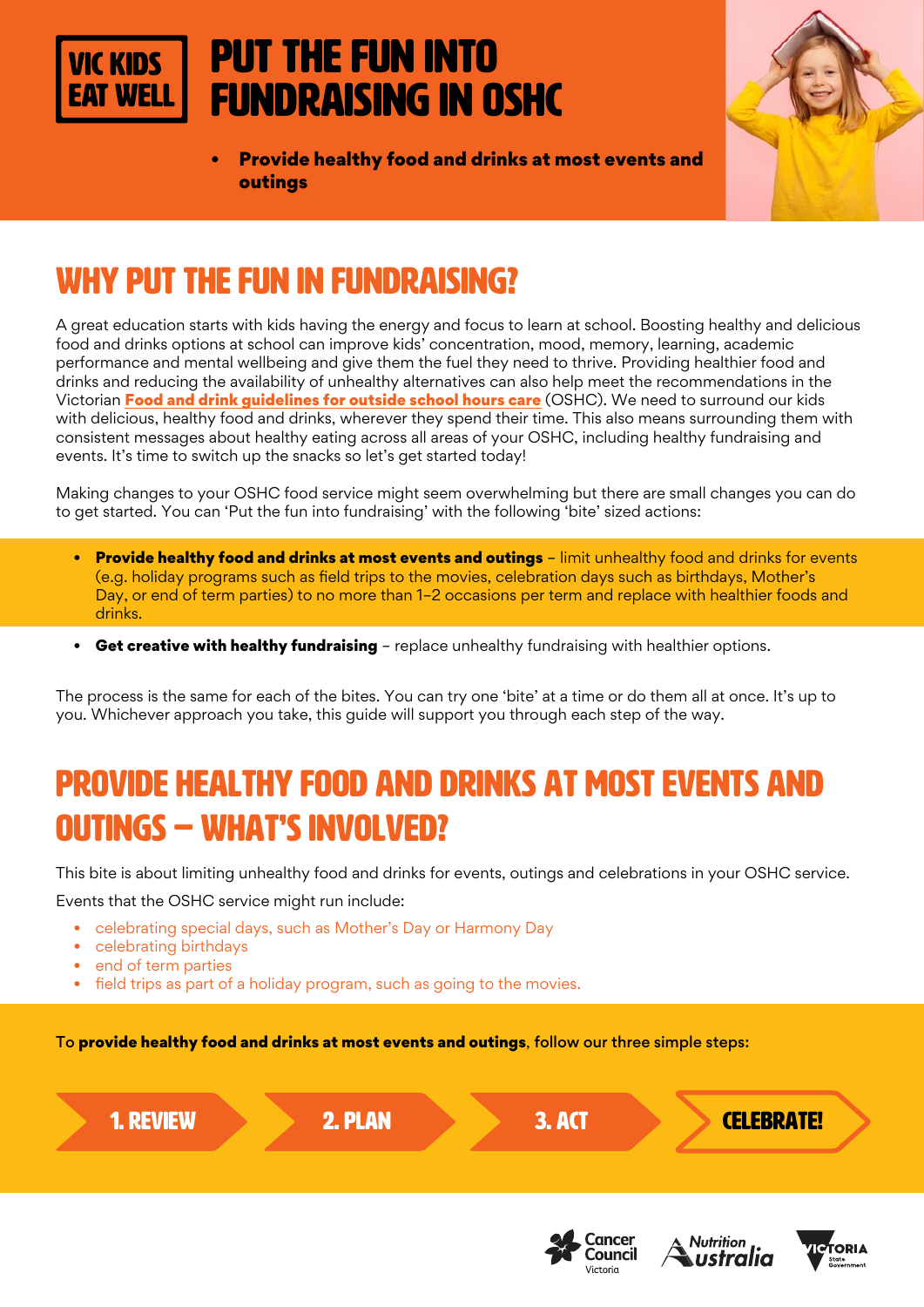#### Put the fun into **VIC KIDS** fundraising in OSHC



• Provide healthy food and drinks at most events and outings

# WHY PUT THE FUN IN FUNDRAISING?

A great education starts with kids having the energy and focus to learn at school. Boosting healthy and delicious food and drinks options at school can improve kids' concentration, mood, memory, learning, academic performance and mental wellbeing and give them the fuel they need to thrive. Providing healthier food and drinks and reducing the availability of unhealthy alternatives can also help meet the recommendations in the Victorian [Food and drink guidelines for outside school hours care](https://heas.health.vic.gov.au/early-childhood-services/menu-planning/OSHC/guidelines) (OSHC). We need to surround our kids with delicious, healthy food and drinks, wherever they spend their time. This also means surrounding them with consistent messages about healthy eating across all areas of your OSHC, including healthy fundraising and events. It's time to switch up the snacks so let's get started today!

Making changes to your OSHC food service might seem overwhelming but there are small changes you can do to get started. You can 'Put the fun into fundraising' with the following 'bite' sized actions:

- Provide healthy food and drinks at most events and outings limit unhealthy food and drinks for events (e.g. holiday programs such as field trips to the movies, celebration days such as birthdays, Mother's Day, or end of term parties) to no more than 1–2 occasions per term and replace with healthier foods and drinks.
- Get creative with healthy fundraising replace unhealthy fundraising with healthier options.

The process is the same for each of the bites. You can try one 'bite' at a time or do them all at once. It's up to you. Whichever approach you take, this guide will support you through each step of the way.

# PROVIDE HEALTHY FOOD AND DRINKS AT MOST EVENTS AND OUTINGS – WHAT'S INVOLVED?

This bite is about limiting unhealthy food and drinks for events, outings and celebrations in your OSHC service.

Events that the OSHC service might run include:

- celebrating special days, such as Mother's Day or Harmony Day
- celebrating birthdays
- end of term parties
- field trips as part of a holiday program, such as going to the movies.

To provide healthy food and drinks at most events and outings, follow our three simple steps:







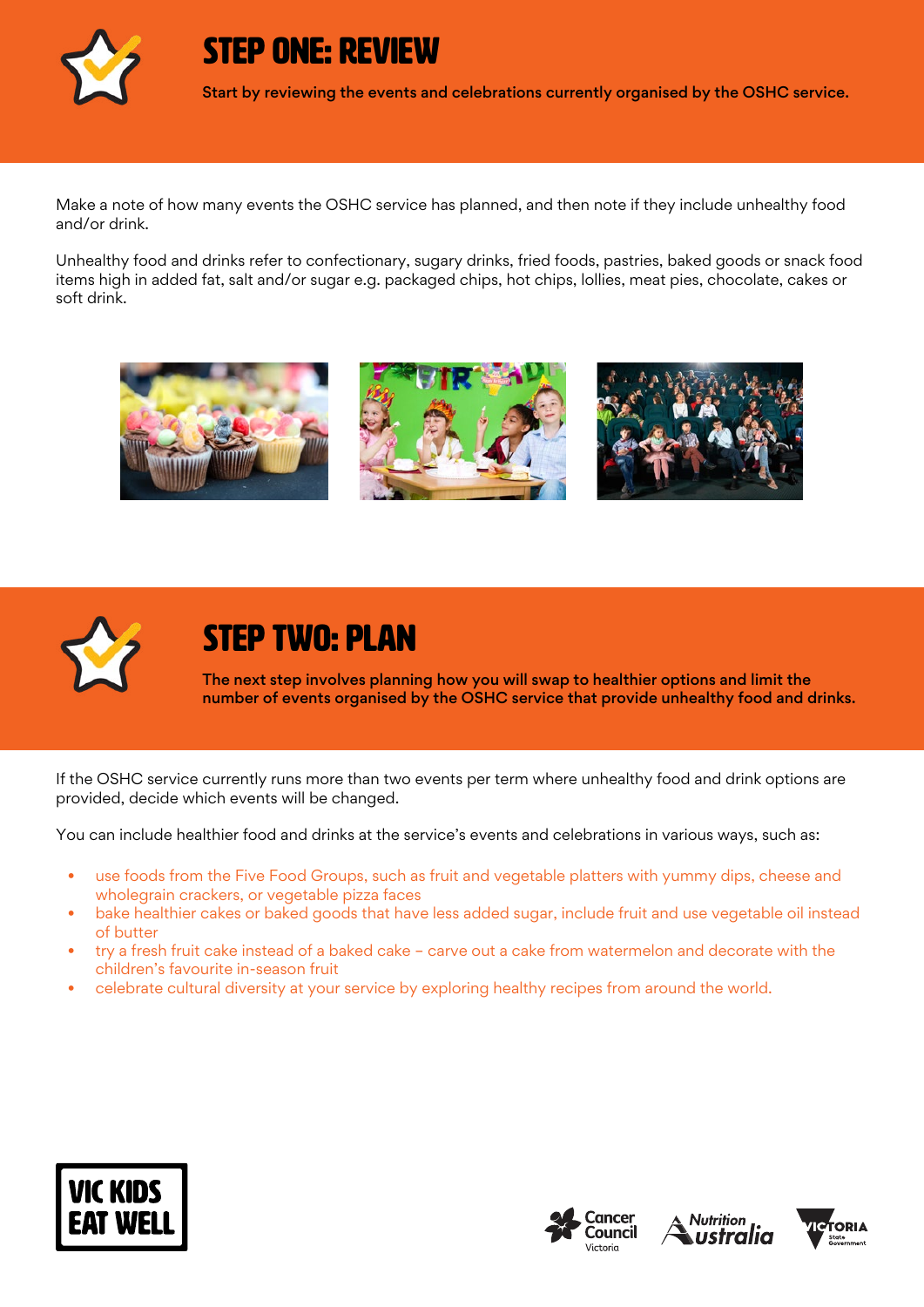

STEP ONE: REVIEW

Start by reviewing the events and celebrations currently organised by the OSHC service.

Make a note of how many events the OSHC service has planned, and then note if they include unhealthy food and/or drink.

Unhealthy food and drinks refer to confectionary, sugary drinks, fried foods, pastries, baked goods or snack food items high in added fat, salt and/or sugar e.g. packaged chips, hot chips, lollies, meat pies, chocolate, cakes or soft drink.





## STEP TWO: PLAN

The next step involves planning how you will swap to healthier options and limit the number of events organised by the OSHC service that provide unhealthy food and drinks.

If the OSHC service currently runs more than two events per term where unhealthy food and drink options are provided, decide which events will be changed.

You can include healthier food and drinks at the service's events and celebrations in various ways, such as:

- use foods from the Five Food Groups, such as fruit and vegetable platters with yummy dips, cheese and wholegrain crackers, or vegetable pizza faces
- bake healthier cakes or baked goods that have less added sugar, include fruit and use vegetable oil instead of butter
- try a fresh fruit cake instead of a baked cake carve out a cake from watermelon and decorate with the children's favourite in-season fruit
- celebrate cultural diversity at your service by exploring healthy recipes from around the world.







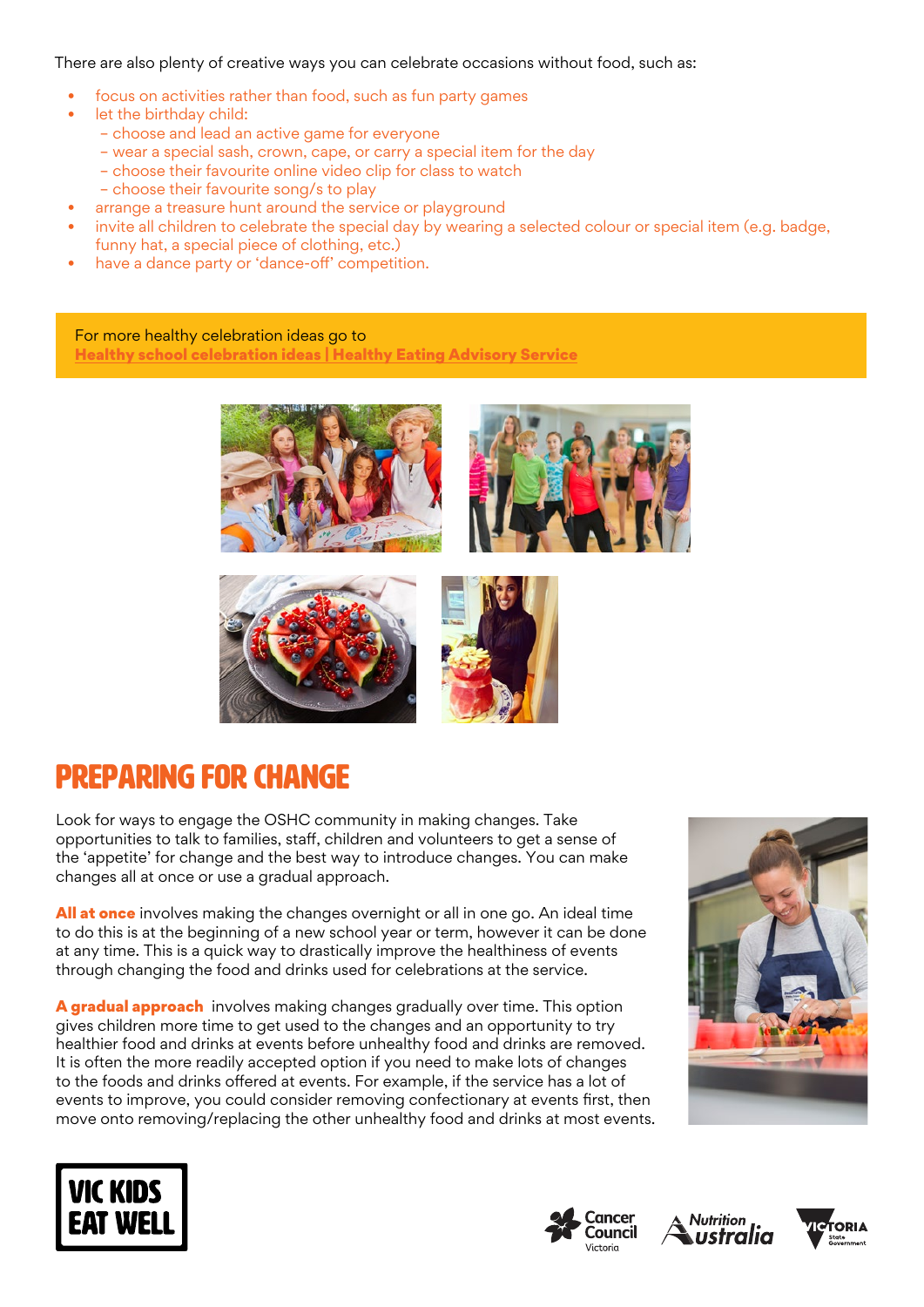There are also plenty of creative ways you can celebrate occasions without food, such as:

- focus on activities rather than food, such as fun party games
- let the birthday child:
	- choose and lead an active game for everyone
	- wear a special sash, crown, cape, or carry a special item for the day
	- choose their favourite online video clip for class to watch
	- choose their favourite song/s to play
	- arrange a treasure hunt around the service or playground
- invite all children to celebrate the special day by wearing a selected colour or special item (e.g. badge, funny hat, a special piece of clothing, etc.)
- have a dance party or 'dance-off' competition.

For more healthy celebration ideas go to [Healthy school celebration ideas | Healthy Eating Advisory Service](https://heas.health.vic.gov.au/schools/promoting-healthy-foods-and-drinks/healthy-school-celebration-ideas)





### Preparing for change

Look for ways to engage the OSHC community in making changes. Take opportunities to talk to families, staff, children and volunteers to get a sense of the 'appetite' for change and the best way to introduce changes. You can make changes all at once or use a gradual approach.

All at once involves making the changes overnight or all in one go. An ideal time to do this is at the beginning of a new school year or term, however it can be done at any time. This is a quick way to drastically improve the healthiness of events through changing the food and drinks used for celebrations at the service.

A gradual approach involves making changes gradually over time. This option gives children more time to get used to the changes and an opportunity to try healthier food and drinks at events before unhealthy food and drinks are removed. It is often the more readily accepted option if you need to make lots of changes to the foods and drinks offered at events. For example, if the service has a lot of events to improve, you could consider removing confectionary at events first, then move onto removing/replacing the other unhealthy food and drinks at most events.









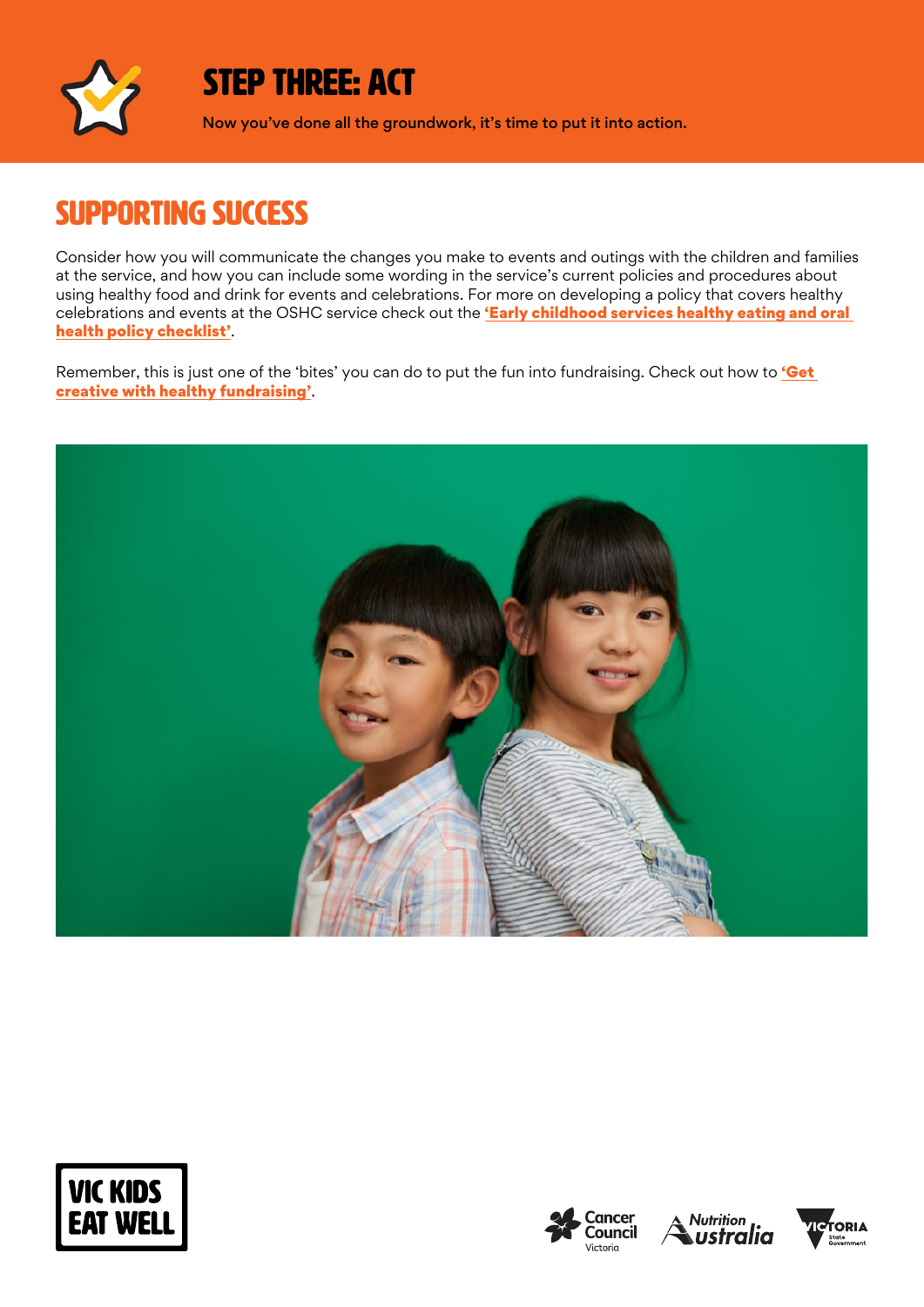

### STEP THREE: ACT

Now you've done all the groundwork, it's time to put it into action.

### **SUPPORTING SUCCESS**

Consider how you will communicate the changes you make to events and outings with the children and families at the service, and how you can include some wording in the service's current policies and procedures about using healthy food and drink for events and celebrations. For more on developing a policy that covers healthy celebrations and events at the OSHC service check out the 'Early childhood services healthy eating and oral [health policy checklist'](http://heas.health.vic.gov.au/early-childhood-services/policy/checklist).

Remember, this is just one of the 'bites' you can do to put the fun into fundraising. Check out how to 'Get [creative with healthy fundraising'](https://www.vickidseatwell.health.vic.gov.au/resources/).